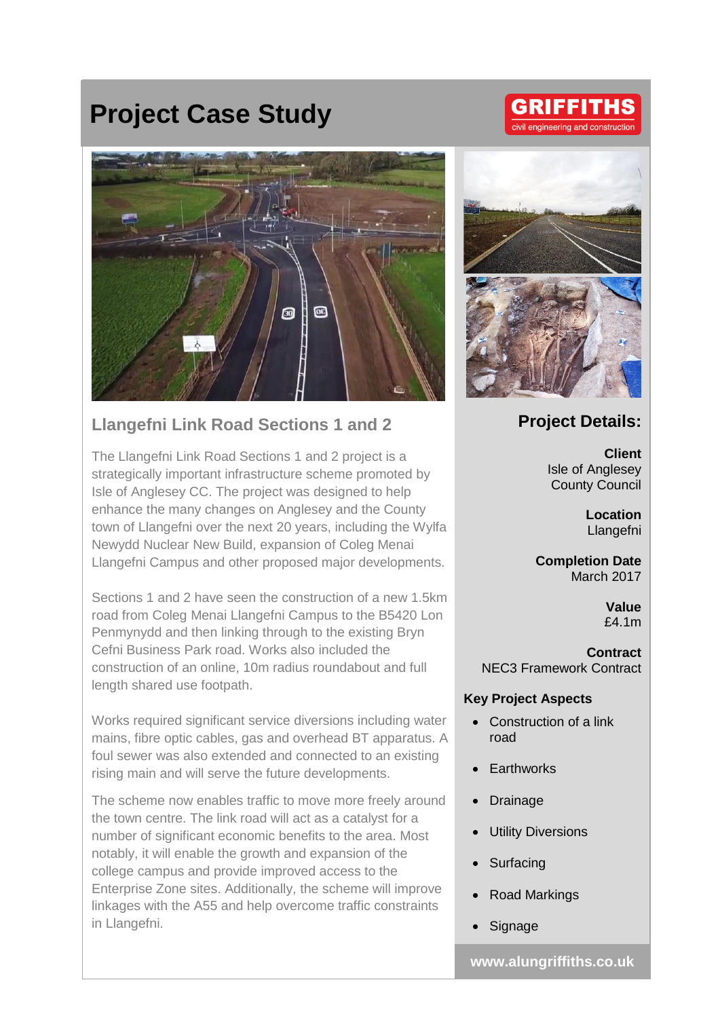# **Project Case Study**



### **Llangefni Link Road Sections 1 and 2**

The Llangefni Link Road Sections 1 and 2 project is a strategically important infrastructure scheme promoted by Isle of Anglesey CC. The project was designed to help enhance the many changes on Anglesey and the County town of Llangefni over the next 20 years, including the Wylfa Newydd Nuclear New Build, expansion of Coleg Menai Llangefni Campus and other proposed major developments.

Sections 1 and 2 have seen the construction of a new 1.5km road from Coleg Menai Llangefni Campus to the B5420 Lon Penmynydd and then linking through to the existing Bryn Cefni Business Park road. Works also included the construction of an online, 10m radius roundabout and full length shared use footpath.

Works required significant service diversions including water mains, fibre optic cables, gas and overhead BT apparatus. A foul sewer was also extended and connected to an existing rising main and will serve the future developments.

The scheme now enables traffic to move more freely around the town centre. The link road will act as a catalyst for a number of significant economic benefits to the area. Most notably, it will enable the growth and expansion of the college campus and provide improved access to the Enterprise Zone sites. Additionally, the scheme will improve linkages with the A55 and help overcome traffic constraints in Llangefni.



## **Project Details:**

**Client** Isle of Anglesey County Council

> **Location** Llangefni

**Completion Date** March 2017

> **Value** £4.1m

**Contract** NEC3 Framework Contract

#### **Key Project Aspects**

- Construction of a link road
- **Earthworks**
- **Drainage**
- **Utility Diversions**
- **Surfacing**
- Road Markings
- **Signage**

**www.alungriffiths.co.uk**